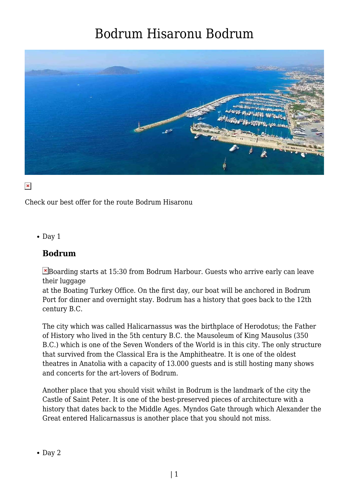

#### $\pmb{\times}$

Check our best offer for the route Bodrum Hisaronu

 $\bullet$  Day 1

#### **Bodrum**

Boarding starts at 15:30 from Bodrum Harbour. Guests who arrive early can leave their luggage

at the Boating Turkey Office. On the first day, our boat will be anchored in Bodrum Port for dinner and overnight stay. Bodrum has a history that goes back to the 12th century B.C.

The city which was called Halicarnassus was the birthplace of Herodotus; the Father of History who lived in the 5th century B.C. the Mausoleum of King Mausolus (350 B.C.) which is one of the Seven Wonders of the World is in this city. The only structure that survived from the Classical Era is the Amphitheatre. It is one of the oldest theatres in Anatolia with a capacity of 13.000 guests and is still hosting many shows and concerts for the art-lovers of Bodrum.

Another place that you should visit whilst in Bodrum is the landmark of the city the Castle of Saint Peter. It is one of the best-preserved pieces of architecture with a history that dates back to the Middle Ages. Myndos Gate through which Alexander the Great entered Halicarnassus is another place that you should not miss.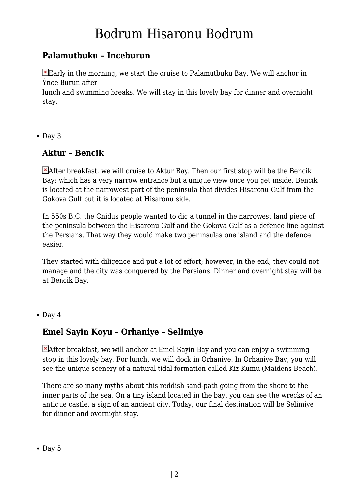### **Palamutbuku – Inceburun**

Early in the morning, we start the cruise to Palamutbuku Bay. We will anchor in Ýnce Burun after

lunch and swimming breaks. We will stay in this lovely bay for dinner and overnight stay.

 $\bullet$  Day 3

#### **Aktur – Bencik**

 $\blacktriangleright$  After breakfast, we will cruise to Aktur Bay. Then our first stop will be the Bencik Bay; which has a very narrow entrance but a unique view once you get inside. Bencik is located at the narrowest part of the peninsula that divides Hisaronu Gulf from the Gokova Gulf but it is located at Hisaronu side.

In 550s B.C. the Cnidus people wanted to dig a tunnel in the narrowest land piece of the peninsula between the Hisaronu Gulf and the Gokova Gulf as a defence line against the Persians. That way they would make two peninsulas one island and the defence easier.

They started with diligence and put a lot of effort; however, in the end, they could not manage and the city was conquered by the Persians. Dinner and overnight stay will be at Bencik Bay.

• Day 4

#### **Emel Sayin Koyu – Orhaniye – Selimiye**

 $\blacktriangleright$  After breakfast, we will anchor at Emel Sayin Bay and you can enjoy a swimming stop in this lovely bay. For lunch, we will dock in Orhaniye. In Orhaniye Bay, you will see the unique scenery of a natural tidal formation called Kiz Kumu (Maidens Beach).

There are so many myths about this reddish sand-path going from the shore to the inner parts of the sea. On a tiny island located in the bay, you can see the wrecks of an antique castle, a sign of an ancient city. Today, our final destination will be Selimiye for dinner and overnight stay.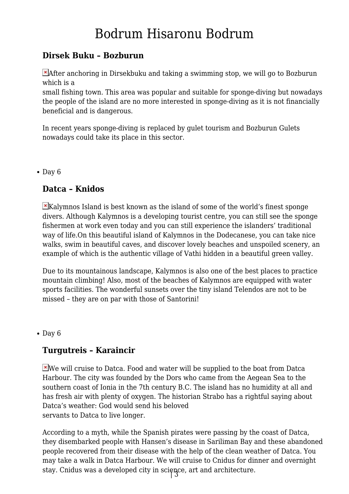### **Dirsek Buku – Bozburun**

**Exafter anchoring in Dirsekbuku and taking a swimming stop, we will go to Bozburun** which is a

small fishing town. This area was popular and suitable for sponge-diving but nowadays the people of the island are no more interested in sponge-diving as it is not financially beneficial and is dangerous.

In recent years sponge-diving is replaced by gulet tourism and Bozburun Gulets nowadays could take its place in this sector.

 $\bullet$  Day 6

#### **Datca – Knidos**

 $\blacktriangleright$ Kalymnos Island is best known as the island of some of the world's finest sponge divers. Although Kalymnos is a developing tourist centre, you can still see the sponge fishermen at work even today and you can still experience the islanders' traditional way of life.On this beautiful island of Kalymnos in the Dodecanese, you can take nice walks, swim in beautiful caves, and discover lovely beaches and unspoiled scenery, an example of which is the authentic village of Vathi hidden in a beautiful green valley.

Due to its mountainous landscape, Kalymnos is also one of the best places to practice mountain climbing! Also, most of the beaches of Kalymnos are equipped with water sports facilities. The wonderful sunsets over the tiny island Telendos are not to be missed – they are on par with those of Santorini!

 $\bullet$  Day 6

#### **Turgutreis – Karaincir**

 $\blacktriangleright$ We will cruise to Datca. Food and water will be supplied to the boat from Datca Harbour. The city was founded by the Dors who came from the Aegean Sea to the southern coast of Ionia in the 7th century B.C. The island has no humidity at all and has fresh air with plenty of oxygen. The historian Strabo has a rightful saying about Datca's weather: God would send his beloved servants to Datca to live longer.

| 3 stay. Cnidus was a developed city in science, art and architecture.According to a myth, while the Spanish pirates were passing by the coast of Datca, they disembarked people with Hansen's disease in Sariliman Bay and these abandoned people recovered from their disease with the help of the clean weather of Datca. You may take a walk in Datca Harbour. We will cruise to Cnidus for dinner and overnight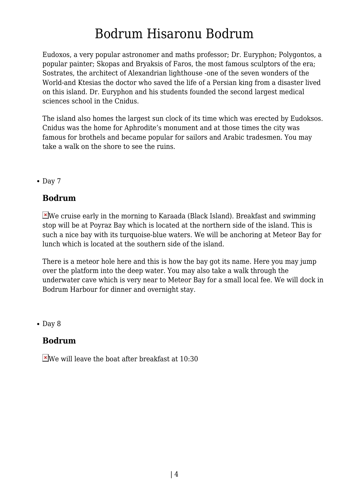Eudoxos, a very popular astronomer and maths professor; Dr. Euryphon; Polygontos, a popular painter; Skopas and Bryaksis of Faros, the most famous sculptors of the era; Sostrates, the architect of Alexandrian lighthouse -one of the seven wonders of the World-and Ktesias the doctor who saved the life of a Persian king from a disaster lived on this island. Dr. Euryphon and his students founded the second largest medical sciences school in the Cnidus.

The island also homes the largest sun clock of its time which was erected by Eudoksos. Cnidus was the home for Aphrodite's monument and at those times the city was famous for brothels and became popular for sailors and Arabic tradesmen. You may take a walk on the shore to see the ruins.

 $\bullet$  Day 7

#### **Bodrum**

We cruise early in the morning to Karaada (Black Island). Breakfast and swimming stop will be at Poyraz Bay which is located at the northern side of the island. This is such a nice bay with its turquoise-blue waters. We will be anchoring at Meteor Bay for lunch which is located at the southern side of the island.

There is a meteor hole here and this is how the bay got its name. Here you may jump over the platform into the deep water. You may also take a walk through the underwater cave which is very near to Meteor Bay for a small local fee. We will dock in Bodrum Harbour for dinner and overnight stay.

• Day 8

#### **Bodrum**

 $\blacktriangleright$  We will leave the boat after breakfast at 10:30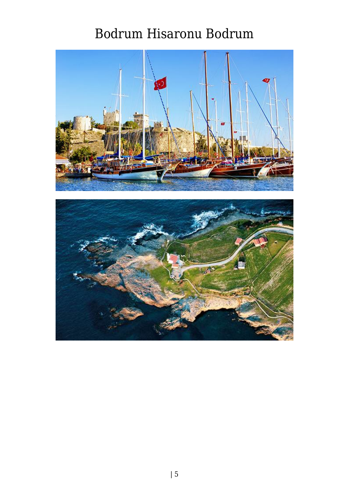

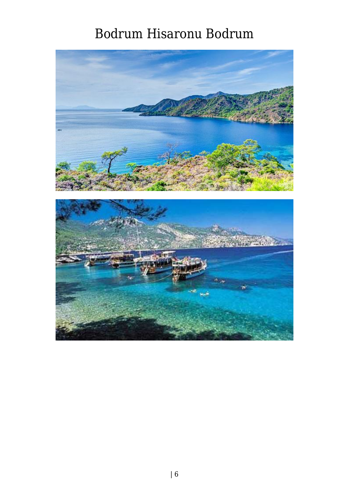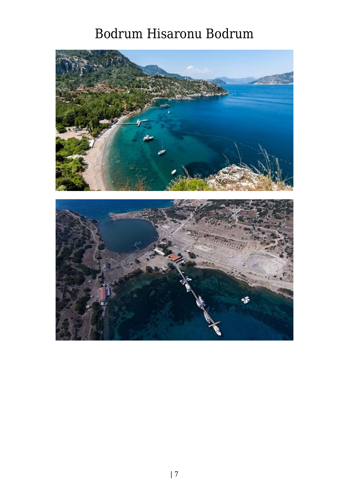